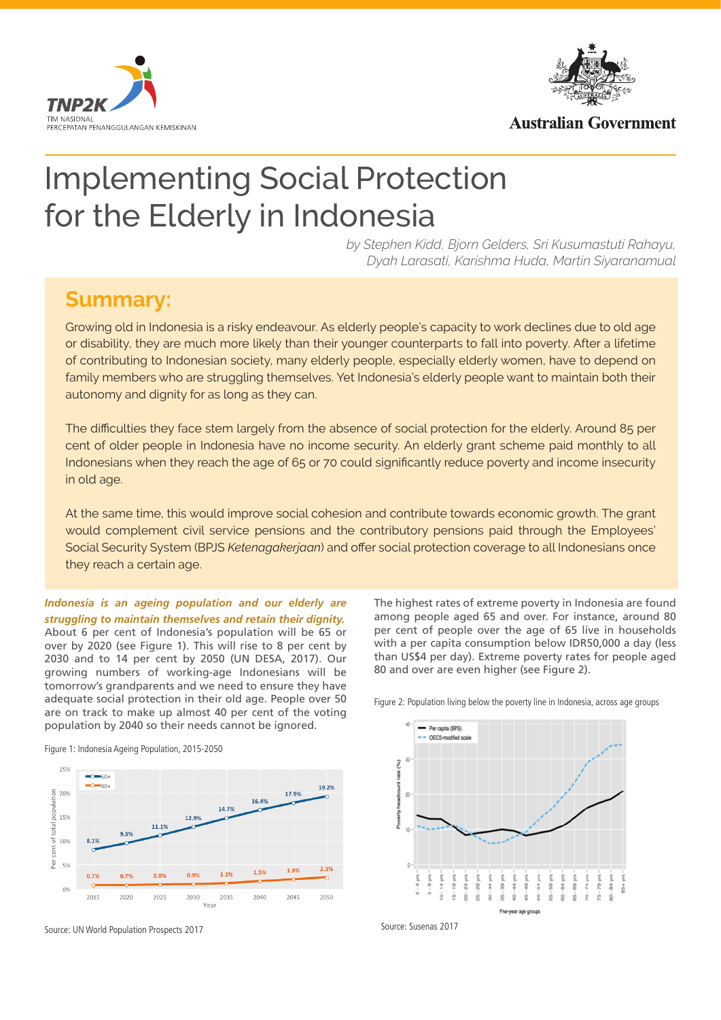



**Australian Government** 

# Implementing Social Protection for the Elderly in Indonesia

*by Stephen Kidd, Bjorn Gelders, Sri Kusumastuti Rahayu, Dyah Larasati, Karishma Huda, Martin Siyaranamual*

## **Summary:**

Growing old in Indonesia is a risky endeavour. As elderly people's capacity to work declines due to old age or disability, they are much more likely than their younger counterparts to fall into poverty. After a lifetime of contributing to Indonesian society, many elderly people, especially elderly women, have to depend on family members who are struggling themselves. Yet Indonesia's elderly people want to maintain both their autonomy and dignity for as long as they can.

The difficulties they face stem largely from the absence of social protection for the elderly. Around 85 per cent of older people in Indonesia have no income security. An elderly grant scheme paid monthly to all Indonesians when they reach the age of 65 or 70 could significantly reduce poverty and income insecurity in old age.

At the same time, this would improve social cohesion and contribute towards economic growth. The grant would complement civil service pensions and the contributory pensions paid through the Employees' Social Security System (BPJS *Ketenagakerjaan*) and offer social protection coverage to all Indonesians once they reach a certain age.

*Indonesia is an ageing population and our elderly are struggling to maintain themselves and retain their dignity.*  About 6 per cent of Indonesia's population will be 65 or

over by 2020 (see Figure 1). This will rise to 8 per cent by 2030 and to 14 per cent by 2050 (UN DESA, 2017). Our growing numbers of working-age Indonesians will be tomorrow's grandparents and we need to ensure they have adequate social protection in their old age. People over 50 are on track to make up almost 40 per cent of the voting population by 2040 so their needs cannot be ignored.



Figure 1: Indonesia Ageing Population, 2015-2050

Source: UN World Population Prospects 2017

The highest rates of extreme poverty in Indonesia are found among people aged 65 and over. For instance, around 80 per cent of people over the age of 65 live in households with a per capita consumption below IDR50,000 a day (less than US\$4 per day). Extreme poverty rates for people aged 80 and over are even higher (see Figure 2).



Figure 2: Population living below the poverty line in Indonesia, across age groups

Source: Susenas 2017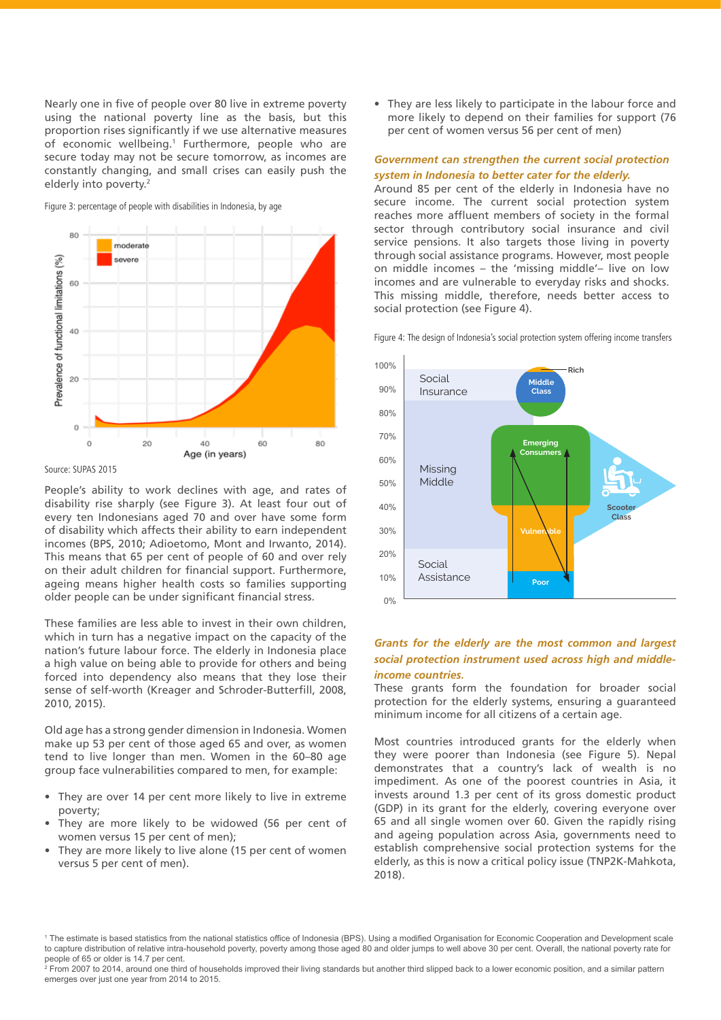Nearly one in five of people over 80 live in extreme poverty using the national poverty line as the basis, but this proportion rises significantly if we use alternative measures of economic wellbeing.<sup>1</sup> Furthermore, people who are secure today may not be secure tomorrow, as incomes are constantly changing, and small crises can easily push the elderly into poverty.<sup>2</sup>

Figure 3: percentage of people with disabilities in Indonesia, by age



Source: SUPAS 2015

People's ability to work declines with age, and rates of disability rise sharply (see Figure 3). At least four out of every ten Indonesians aged 70 and over have some form of disability which affects their ability to earn independent incomes (BPS, 2010; Adioetomo, Mont and Irwanto, 2014). This means that 65 per cent of people of 60 and over rely on their adult children for financial support. Furthermore, ageing means higher health costs so families supporting older people can be under significant financial stress.

These families are less able to invest in their own children, which in turn has a negative impact on the capacity of the nation's future labour force. The elderly in Indonesia place a high value on being able to provide for others and being forced into dependency also means that they lose their sense of self-worth (Kreager and Schroder-Butterfill, 2008, 2010, 2015).

Old age has a strong gender dimension in Indonesia. Women make up 53 per cent of those aged 65 and over, as women tend to live longer than men. Women in the 60–80 age group face vulnerabilities compared to men, for example:

- They are over 14 per cent more likely to live in extreme poverty;
- They are more likely to be widowed (56 per cent of women versus 15 per cent of men);
- They are more likely to live alone (15 per cent of women versus 5 per cent of men).

• They are less likely to participate in the labour force and more likely to depend on their families for support (76 per cent of women versus 56 per cent of men)

#### *Government can strengthen the current social protection system in Indonesia to better cater for the elderly.*

Around 85 per cent of the elderly in Indonesia have no secure income. The current social protection system reaches more affluent members of society in the formal sector through contributory social insurance and civil service pensions. It also targets those living in poverty through social assistance programs. However, most people on middle incomes – the 'missing middle'– live on low incomes and are vulnerable to everyday risks and shocks. This missing middle, therefore, needs better access to social protection (see Figure 4).

Figure 4: The design of Indonesia's social protection system offering income transfers



#### *Grants for the elderly are the most common and largest social protection instrument used across high and middleincome countries.*

These grants form the foundation for broader social protection for the elderly systems, ensuring a guaranteed minimum income for all citizens of a certain age.

Most countries introduced grants for the elderly when they were poorer than Indonesia (see Figure 5). Nepal demonstrates that a country's lack of wealth is no impediment. As one of the poorest countries in Asia, it invests around 1.3 per cent of its gross domestic product (GDP) in its grant for the elderly, covering everyone over 65 and all single women over 60. Given the rapidly rising and ageing population across Asia, governments need to establish comprehensive social protection systems for the elderly, as this is now a critical policy issue (TNP2K-Mahkota, 2018).

<sup>2</sup> From 2007 to 2014, around one third of households improved their living standards but another third slipped back to a lower economic position, and a similar pattern emerges over just one year from 2014 to 2015.

<sup>1</sup> The estimate is based statistics from the national statistics office of Indonesia (BPS). Using a modified Organisation for Economic Cooperation and Development scale to capture distribution of relative intra-household poverty, poverty among those aged 80 and older jumps to well above 30 per cent. Overall, the national poverty rate for people of 65 or older is 14.7 per cent.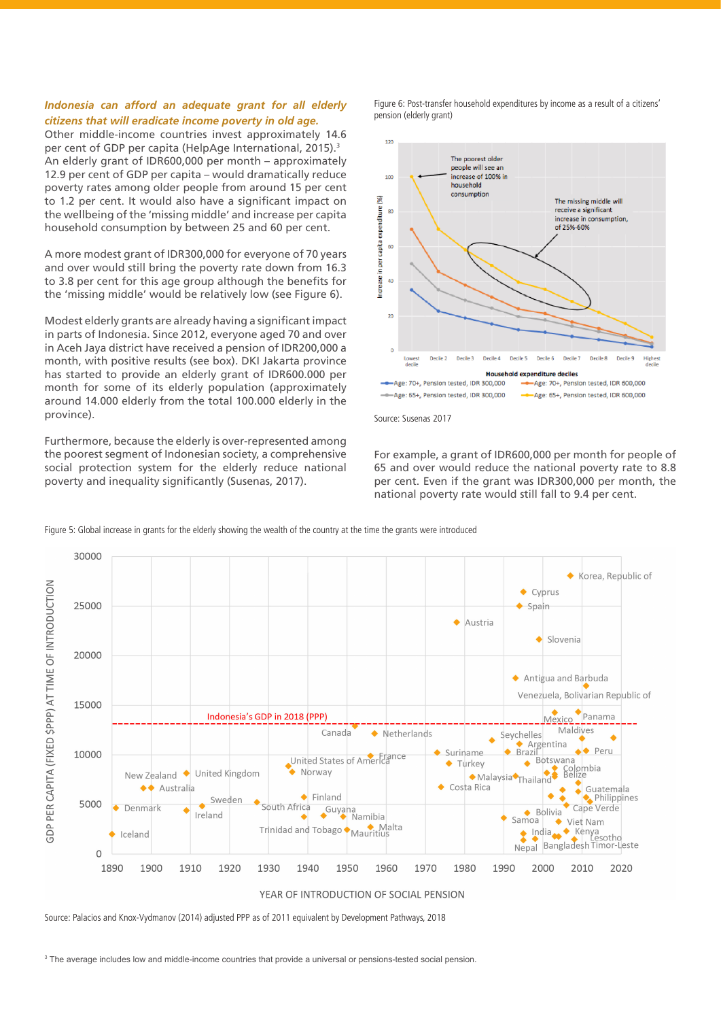#### *Indonesia can afford an adequate grant for all elderly citizens that will eradicate income poverty in old age.*

Other middle-income countries invest approximately 14.6 per cent of GDP per capita (HelpAge International, 2015).3 An elderly grant of IDR600,000 per month – approximately 12.9 per cent of GDP per capita – would dramatically reduce poverty rates among older people from around 15 per cent to 1.2 per cent. It would also have a significant impact on the wellbeing of the 'missing middle' and increase per capita household consumption by between 25 and 60 per cent.

A more modest grant of IDR300,000 for everyone of 70 years and over would still bring the poverty rate down from 16.3 to 3.8 per cent for this age group although the benefits for the 'missing middle' would be relatively low (see Figure 6).

Modest elderly grants are already having a significant impact in parts of Indonesia. Since 2012, everyone aged 70 and over in Aceh Jaya district have received a pension of IDR200,000 a month, with positive results (see box). DKI Jakarta province has started to provide an elderly grant of IDR600.000 per month for some of its elderly population (approximately around 14.000 elderly from the total 100.000 elderly in the province).

Furthermore, because the elderly is over-represented among the poorest segment of Indonesian society, a comprehensive social protection system for the elderly reduce national poverty and inequality significantly (Susenas, 2017).

Figure 6: Post-transfer household expenditures by income as a result of a citizens' pension (elderly grant)



Source: Susenas 2017

For example, a grant of IDR600,000 per month for people of 65 and over would reduce the national poverty rate to 8.8 per cent. Even if the grant was IDR300,000 per month, the national poverty rate would still fall to 9.4 per cent.



Figure 5: Global increase in grants for the elderly showing the wealth of the country at the time the grants were introduced

Source: Palacios and Knox-Vydmanov (2014) adjusted PPP as of 2011 equivalent by Development Pathways, 2018

3 The average includes low and middle-income countries that provide a universal or pensions-tested social pension.